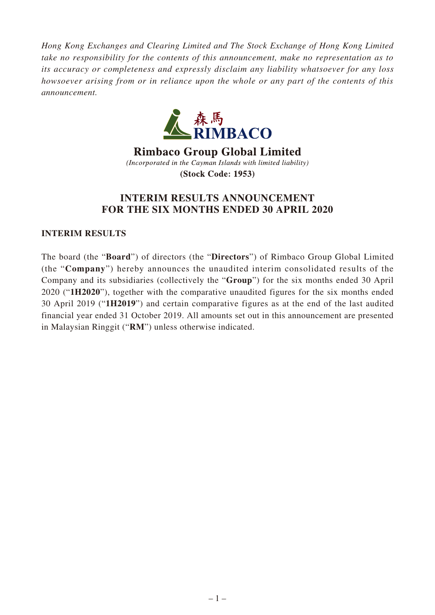*Hong Kong Exchanges and Clearing Limited and The Stock Exchange of Hong Kong Limited take no responsibility for the contents of this announcement, make no representation as to its accuracy or completeness and expressly disclaim any liability whatsoever for any loss howsoever arising from or in reliance upon the whole or any part of the contents of this announcement.*



**Rimbaco Group Global Limited** (Incorporated in the Cayman Islands with limited liability) **(Stock Code: 1953)** 

# **INTERIM RESULTS ANNOUNCEMENT FOR THE SIX MONTHS ENDED 30 APRIL 2020**

# **INTERIM RESULTS**

The board (the "**Board**") of directors (the "**Directors**") of Rimbaco Group Global Limited (the "**Company**") hereby announces the unaudited interim consolidated results of the Company and its subsidiaries (collectively the "**Group**") for the six months ended 30 April 2020 ("**1H2020**"), together with the comparative unaudited figures for the six months ended 30 April 2019 ("**1H2019**") and certain comparative figures as at the end of the last audited financial year ended 31 October 2019. All amounts set out in this announcement are presented in Malaysian Ringgit ("**RM**") unless otherwise indicated.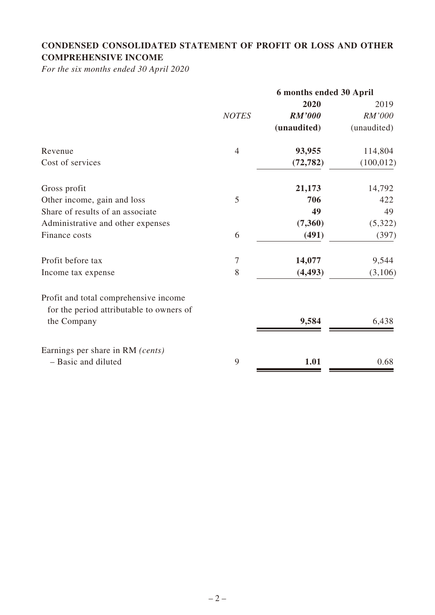# **CONDENSED CONSOLIDATED STATEMENT OF PROFIT OR LOSS AND OTHER COMPREHENSIVE INCOME**

*For the six months ended 30 April 2020*

|                                                                                   |                | 6 months ended 30 April |             |
|-----------------------------------------------------------------------------------|----------------|-------------------------|-------------|
|                                                                                   |                | 2020                    | 2019        |
|                                                                                   | <b>NOTES</b>   | <b>RM'000</b>           | RM'000      |
|                                                                                   |                | (unaudited)             | (unaudited) |
| Revenue                                                                           | $\overline{4}$ | 93,955                  | 114,804     |
| Cost of services                                                                  |                | (72, 782)               | (100, 012)  |
| Gross profit                                                                      |                | 21,173                  | 14,792      |
| Other income, gain and loss                                                       | 5              | 706                     | 422         |
| Share of results of an associate                                                  |                | 49                      | 49          |
| Administrative and other expenses                                                 |                | (7,360)                 | (5, 322)    |
| Finance costs                                                                     | 6              | (491)                   | (397)       |
| Profit before tax                                                                 | $\tau$         | 14,077                  | 9,544       |
| Income tax expense                                                                | 8              | (4, 493)                | (3,106)     |
| Profit and total comprehensive income<br>for the period attributable to owners of |                |                         |             |
| the Company                                                                       |                | 9,584                   | 6,438       |
| Earnings per share in RM (cents)                                                  |                |                         |             |
| - Basic and diluted                                                               | 9              | 1.01                    | 0.68        |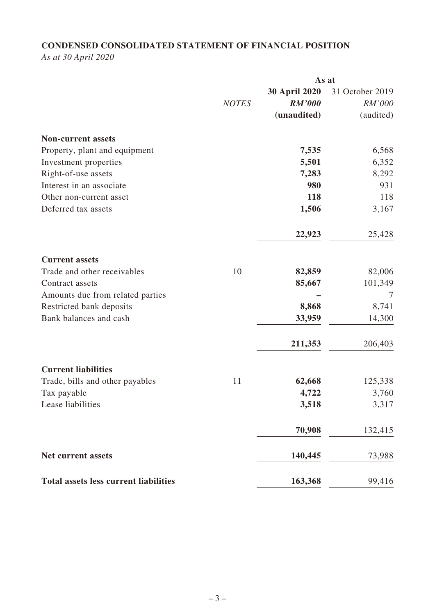# **CONDENSED CONSOLIDATED STATEMENT OF FINANCIAL POSITION**

*As at 30 April 2020*

|                                              |              | As at         |                 |
|----------------------------------------------|--------------|---------------|-----------------|
|                                              |              | 30 April 2020 | 31 October 2019 |
|                                              | <b>NOTES</b> | RM'000        | RM'000          |
|                                              |              | (unaudited)   | (audited)       |
| <b>Non-current assets</b>                    |              |               |                 |
| Property, plant and equipment                |              | 7,535         | 6,568           |
| Investment properties                        |              | 5,501         | 6,352           |
| Right-of-use assets                          |              | 7,283         | 8,292           |
| Interest in an associate                     |              | 980           | 931             |
| Other non-current asset                      |              | 118           | 118             |
| Deferred tax assets                          |              | 1,506         | 3,167           |
|                                              |              | 22,923        | 25,428          |
| <b>Current assets</b>                        |              |               |                 |
| Trade and other receivables                  | 10           | 82,859        | 82,006          |
| Contract assets                              |              | 85,667        | 101,349         |
| Amounts due from related parties             |              |               | $\overline{7}$  |
| Restricted bank deposits                     |              | 8,868         | 8,741           |
| Bank balances and cash                       |              | 33,959        | 14,300          |
|                                              |              | 211,353       | 206,403         |
| <b>Current liabilities</b>                   |              |               |                 |
| Trade, bills and other payables              | 11           | 62,668        | 125,338         |
| Tax payable                                  |              | 4,722         | 3,760           |
| Lease liabilities                            |              | 3,518         | 3,317           |
|                                              |              | 70,908        | 132,415         |
| Net current assets                           |              | 140,445       | 73,988          |
| <b>Total assets less current liabilities</b> |              | 163,368       | 99,416          |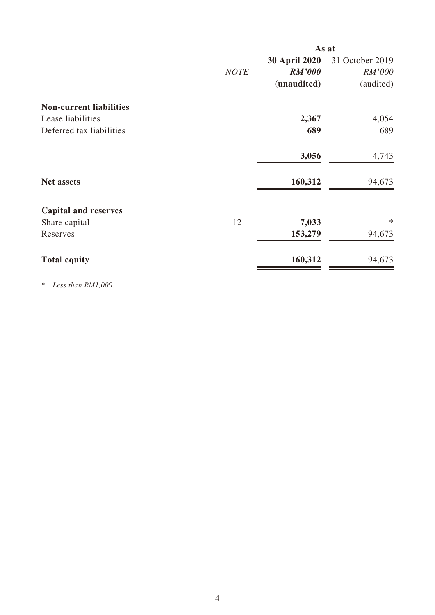|                                |             | As at                |                 |
|--------------------------------|-------------|----------------------|-----------------|
|                                |             | <b>30 April 2020</b> | 31 October 2019 |
|                                | <b>NOTE</b> | <b>RM'000</b>        | RM'000          |
|                                |             | (unaudited)          | (audited)       |
| <b>Non-current liabilities</b> |             |                      |                 |
| Lease liabilities              |             | 2,367                | 4,054           |
| Deferred tax liabilities       |             | 689                  | 689             |
|                                |             | 3,056                | 4,743           |
| <b>Net assets</b>              |             | 160,312              | 94,673          |
| <b>Capital and reserves</b>    |             |                      |                 |
| Share capital                  | 12          | 7,033                | $\ast$          |
| Reserves                       |             | 153,279              | 94,673          |
| <b>Total equity</b>            |             | 160,312              | 94,673          |

\* *Less than RM1,000.*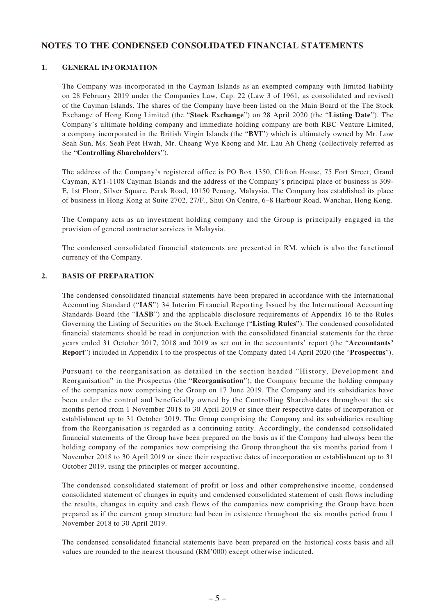#### **NOTES TO THE CONDENSED CONSOLIDATED FINANCIAL STATEMENTS**

#### **1. GENERAL INFORMATION**

The Company was incorporated in the Cayman Islands as an exempted company with limited liability on 28 February 2019 under the Companies Law, Cap. 22 (Law 3 of 1961, as consolidated and revised) of the Cayman Islands. The shares of the Company have been listed on the Main Board of the The Stock Exchange of Hong Kong Limited (the "**Stock Exchange**") on 28 April 2020 (the "**Listing Date**"). The Company's ultimate holding company and immediate holding company are both RBC Venture Limited, a company incorporated in the British Virgin Islands (the "**BVI**") which is ultimately owned by Mr. Low Seah Sun, Ms. Seah Peet Hwah, Mr. Cheang Wye Keong and Mr. Lau Ah Cheng (collectively referred as the "**Controlling Shareholders**").

The address of the Company's registered office is PO Box 1350, Clifton House, 75 Fort Street, Grand Cayman, KY1-1108 Cayman Islands and the address of the Company's principal place of business is 309- E, 1st Floor, Silver Square, Perak Road, 10150 Penang, Malaysia. The Company has established its place of business in Hong Kong at Suite 2702, 27/F., Shui On Centre, 6–8 Harbour Road, Wanchai, Hong Kong.

The Company acts as an investment holding company and the Group is principally engaged in the provision of general contractor services in Malaysia.

The condensed consolidated financial statements are presented in RM, which is also the functional currency of the Company.

#### **2. BASIS OF PREPARATION**

The condensed consolidated financial statements have been prepared in accordance with the International Accounting Standard ("**IAS**") 34 Interim Financial Reporting Issued by the International Accounting Standards Board (the "**IASB**") and the applicable disclosure requirements of Appendix 16 to the Rules Governing the Listing of Securities on the Stock Exchange ("**Listing Rules**"). The condensed consolidated financial statements should be read in conjunction with the consolidated financial statements for the three years ended 31 October 2017, 2018 and 2019 as set out in the accountants' report (the "**Accountants' Report**") included in Appendix I to the prospectus of the Company dated 14 April 2020 (the "**Prospectus**").

Pursuant to the reorganisation as detailed in the section headed "History, Development and Reorganisation" in the Prospectus (the "**Reorganisation**"), the Company became the holding company of the companies now comprising the Group on 17 June 2019. The Company and its subsidiaries have been under the control and beneficially owned by the Controlling Shareholders throughout the six months period from 1 November 2018 to 30 April 2019 or since their respective dates of incorporation or establishment up to 31 October 2019. The Group comprising the Company and its subsidiaries resulting from the Reorganisation is regarded as a continuing entity. Accordingly, the condensed consolidated financial statements of the Group have been prepared on the basis as if the Company had always been the holding company of the companies now comprising the Group throughout the six months period from 1 November 2018 to 30 April 2019 or since their respective dates of incorporation or establishment up to 31 October 2019, using the principles of merger accounting.

The condensed consolidated statement of profit or loss and other comprehensive income, condensed consolidated statement of changes in equity and condensed consolidated statement of cash flows including the results, changes in equity and cash flows of the companies now comprising the Group have been prepared as if the current group structure had been in existence throughout the six months period from 1 November 2018 to 30 April 2019.

The condensed consolidated financial statements have been prepared on the historical costs basis and all values are rounded to the nearest thousand (RM'000) except otherwise indicated.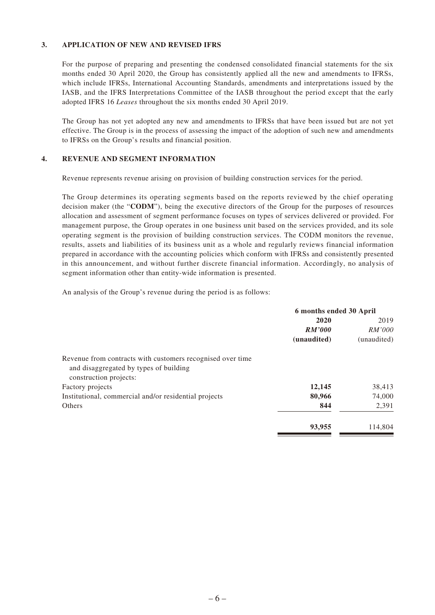#### **3. APPLICATION OF NEW AND REVISED IFRS**

For the purpose of preparing and presenting the condensed consolidated financial statements for the six months ended 30 April 2020, the Group has consistently applied all the new and amendments to IFRSs, which include IFRSs, International Accounting Standards, amendments and interpretations issued by the IASB, and the IFRS Interpretations Committee of the IASB throughout the period except that the early adopted IFRS 16 *Leases* throughout the six months ended 30 April 2019.

The Group has not yet adopted any new and amendments to IFRSs that have been issued but are not yet effective. The Group is in the process of assessing the impact of the adoption of such new and amendments to IFRSs on the Group's results and financial position.

#### **4. REVENUE AND SEGMENT INFORMATION**

Revenue represents revenue arising on provision of building construction services for the period.

The Group determines its operating segments based on the reports reviewed by the chief operating decision maker (the "**CODM**"), being the executive directors of the Group for the purposes of resources allocation and assessment of segment performance focuses on types of services delivered or provided. For management purpose, the Group operates in one business unit based on the services provided, and its sole operating segment is the provision of building construction services. The CODM monitors the revenue, results, assets and liabilities of its business unit as a whole and regularly reviews financial information prepared in accordance with the accounting policies which conform with IFRSs and consistently presented in this announcement, and without further discrete financial information. Accordingly, no analysis of segment information other than entity-wide information is presented.

An analysis of the Group's revenue during the period is as follows:

|                                                                                                                                | 6 months ended 30 April |             |
|--------------------------------------------------------------------------------------------------------------------------------|-------------------------|-------------|
|                                                                                                                                | 2020                    | 2019        |
|                                                                                                                                | <b>RM'000</b>           | RM'000      |
|                                                                                                                                | (unaudited)             | (unaudited) |
| Revenue from contracts with customers recognised over time<br>and disaggregated by types of building<br>construction projects: |                         |             |
| Factory projects                                                                                                               | 12,145                  | 38,413      |
| Institutional, commercial and/or residential projects                                                                          | 80,966                  | 74,000      |
| Others                                                                                                                         | 844                     | 2,391       |
|                                                                                                                                | 93,955                  | 114,804     |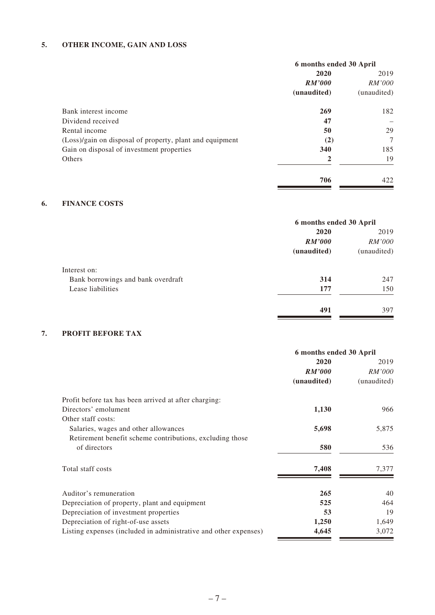# **5. OTHER INCOME, GAIN AND LOSS**

|                                                          | 6 months ended 30 April |               |
|----------------------------------------------------------|-------------------------|---------------|
|                                                          | 2020                    | 2019          |
|                                                          | RM'000                  | <i>RM'000</i> |
|                                                          | (unaudited)             | (unaudited)   |
| Bank interest income                                     | 269                     | 182           |
| Dividend received                                        | 47                      |               |
| Rental income                                            | 50                      | 29            |
| (Loss)/gain on disposal of property, plant and equipment | (2)                     | $\tau$        |
| Gain on disposal of investment properties                | 340                     | 185           |
| Others                                                   | 2                       | 19            |
|                                                          | 706                     | 422           |

#### **6. FINANCE COSTS**

|                                    | 6 months ended 30 April |               |
|------------------------------------|-------------------------|---------------|
|                                    | 2020                    | 2019          |
|                                    | <b>RM'000</b>           | <i>RM'000</i> |
|                                    | (unaudited)             | (unaudited)   |
| Interest on:                       |                         |               |
| Bank borrowings and bank overdraft | 314                     | 247           |
| Lease liabilities                  | 177                     | 150           |
|                                    | 491                     | 397           |

## **7. PROFIT BEFORE TAX**

|                                                                  | 6 months ended 30 April |               |
|------------------------------------------------------------------|-------------------------|---------------|
|                                                                  | 2020                    | 2019          |
|                                                                  | RM'000                  | <i>RM'000</i> |
|                                                                  | (unaudited)             | (unaudited)   |
| Profit before tax has been arrived at after charging:            |                         |               |
| Directors' emolument                                             | 1,130                   | 966           |
| Other staff costs:                                               |                         |               |
| Salaries, wages and other allowances                             | 5,698                   | 5,875         |
| Retirement benefit scheme contributions, excluding those         |                         |               |
| of directors                                                     | 580                     | 536           |
| Total staff costs                                                | 7,408                   | 7,377         |
| Auditor's remuneration                                           | 265                     | 40            |
| Depreciation of property, plant and equipment                    | 525                     | 464           |
| Depreciation of investment properties                            | 53                      | 19            |
| Depreciation of right-of-use assets                              | 1,250                   | 1,649         |
| Listing expenses (included in administrative and other expenses) | 4,645                   | 3,072         |
|                                                                  |                         |               |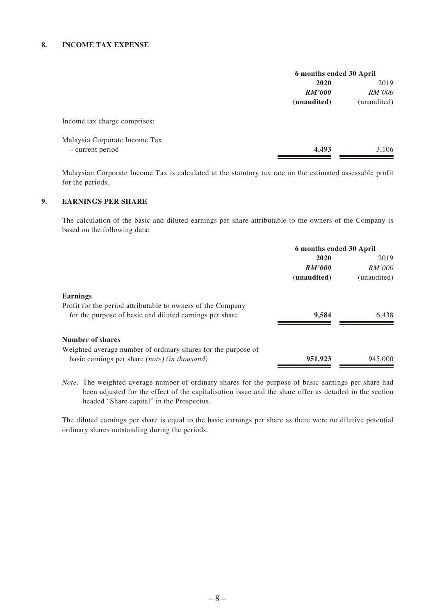#### **8. INCOME TAX EXPENSE**

|                               | 6 months ended 30 April |               |
|-------------------------------|-------------------------|---------------|
|                               | 2020                    |               |
|                               | RM'000                  | <i>RM'000</i> |
|                               | (unaudited)             | (unaudited)   |
| Income tax charge comprises:  |                         |               |
| Malaysia Corporate Income Tax |                         |               |
| - current period              | 4,493                   | 3.106         |

Malaysian Corporate Income Tax is calculated at the statutory tax rate on the estimated assessable profit for the periods.

#### **9. EARNINGS PER SHARE**

The calculation of the basic and diluted earnings per share attributable to the owners of the Company is based on the following data:

|                                                               | 6 months ended 30 April |             |
|---------------------------------------------------------------|-------------------------|-------------|
|                                                               | 2020                    | 2019        |
|                                                               | RM'000                  | RM'000      |
|                                                               | (unaudited)             | (unaudited) |
| <b>Earnings</b>                                               |                         |             |
| Profit for the period attributable to owners of the Company   |                         |             |
| for the purpose of basic and diluted earnings per share       | 9,584                   | 6.438       |
| Number of shares                                              |                         |             |
| Weighted average number of ordinary shares for the purpose of |                         |             |
| basic earnings per share <i>(note) (in thousand)</i>          | 951,923                 | 945,000     |

*Note:* The weighted average number of ordinary shares for the purpose of basic earnings per share had been adjusted for the effect of the capitalisation issue and the share offer as detailed in the section headed "Share capital" in the Prospectus.

The diluted earnings per share is equal to the basic earnings per share as there were no dilutive potential ordinary shares outstanding during the periods.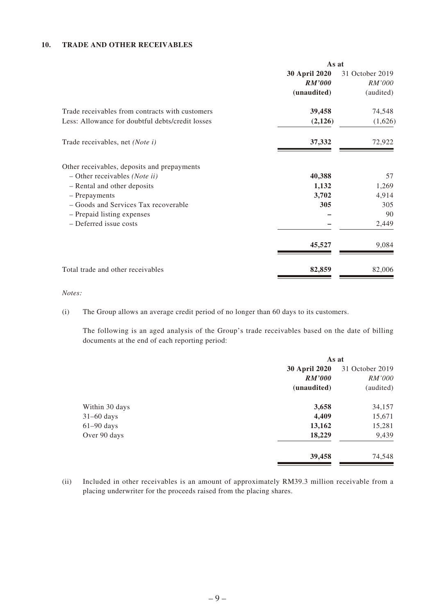#### **10. TRADE AND OTHER RECEIVABLES**

|                                                  | As at         |                 |
|--------------------------------------------------|---------------|-----------------|
|                                                  | 30 April 2020 | 31 October 2019 |
|                                                  | RM'000        | <i>RM'000</i>   |
|                                                  | (unaudited)   | (audited)       |
| Trade receivables from contracts with customers  | 39,458        | 74,548          |
| Less: Allowance for doubtful debts/credit losses | (2,126)       | (1,626)         |
| Trade receivables, net (Note i)                  | 37,332        | 72,922          |
| Other receivables, deposits and prepayments      |               |                 |
| $-$ Other receivables ( <i>Note ii</i> )         | 40,388        | 57              |
| - Rental and other deposits                      | 1,132         | 1,269           |
| - Prepayments                                    | 3,702         | 4,914           |
| - Goods and Services Tax recoverable             | 305           | 305             |
| - Prepaid listing expenses                       |               | 90              |
| - Deferred issue costs                           |               | 2,449           |
|                                                  | 45,527        | 9,084           |
| Total trade and other receivables                | 82,859        | 82,006          |

*Notes:*

(i) The Group allows an average credit period of no longer than 60 days to its customers.

The following is an aged analysis of the Group's trade receivables based on the date of billing documents at the end of each reporting period:

|                | As at                |                 |
|----------------|----------------------|-----------------|
|                | <b>30 April 2020</b> | 31 October 2019 |
|                | <b>RM'000</b>        | <i>RM'000</i>   |
|                | (unaudited)          | (audited)       |
| Within 30 days | 3,658                | 34,157          |
| $31-60$ days   | 4,409                | 15,671          |
| $61-90$ days   | 13,162               | 15,281          |
| Over 90 days   | 18,229               | 9,439           |
|                | 39,458               | 74,548          |

(ii) Included in other receivables is an amount of approximately RM39.3 million receivable from a placing underwriter for the proceeds raised from the placing shares.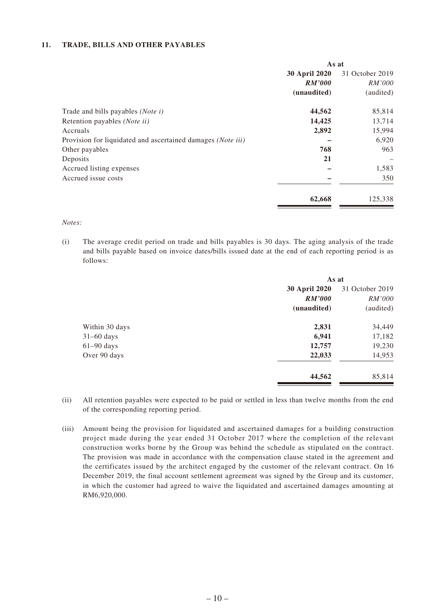#### **11. TRADE, BILLS AND OTHER PAYABLES**

|                                                             | As at         |                 |
|-------------------------------------------------------------|---------------|-----------------|
|                                                             | 30 April 2020 | 31 October 2019 |
|                                                             | <b>RM'000</b> | RM'000          |
|                                                             | (unaudited)   | (audited)       |
| Trade and bills payables (Note i)                           | 44,562        | 85,814          |
| Retention payables ( <i>Note ii</i> )                       | 14,425        | 13,714          |
| Accruals                                                    | 2,892         | 15,994          |
| Provision for liquidated and ascertained damages (Note iii) |               | 6,920           |
| Other payables                                              | 768           | 963             |
| Deposits                                                    | 21            |                 |
| Accrued listing expenses                                    |               | 1,583           |
| Accrued issue costs                                         |               | 350             |
|                                                             | 62,668        | 125,338         |

#### *Notes:*

(i) The average credit period on trade and bills payables is 30 days. The aging analysis of the trade and bills payable based on invoice dates/bills issued date at the end of each reporting period is as follows:

|                | As at                            |           |  |
|----------------|----------------------------------|-----------|--|
|                | 30 April 2020<br>31 October 2019 |           |  |
|                | <b>RM'000</b>                    | RM'000    |  |
|                | (unaudited)                      | (audited) |  |
| Within 30 days | 2,831                            | 34,449    |  |
| $31-60$ days   | 6,941                            | 17,182    |  |
| $61-90$ days   | 12,757                           | 19,230    |  |
| Over 90 days   | 22,033                           | 14,953    |  |
|                | 44,562                           | 85,814    |  |

- (ii) All retention payables were expected to be paid or settled in less than twelve months from the end of the corresponding reporting period.
- (iii) Amount being the provision for liquidated and ascertained damages for a building construction project made during the year ended 31 October 2017 where the completion of the relevant construction works borne by the Group was behind the schedule as stipulated on the contract. The provision was made in accordance with the compensation clause stated in the agreement and the certificates issued by the architect engaged by the customer of the relevant contract. On 16 December 2019, the final account settlement agreement was signed by the Group and its customer, in which the customer had agreed to waive the liquidated and ascertained damages amounting at RM6,920,000.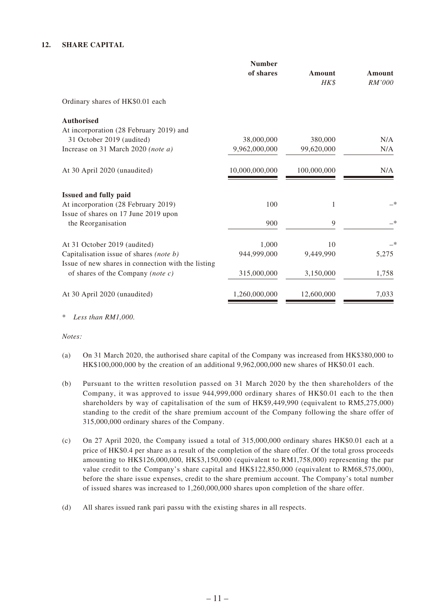#### **12. SHARE CAPITAL**

|                                                    | <b>Number</b><br>of shares | Amount<br>HK\$ | Amount<br>RM'000 |
|----------------------------------------------------|----------------------------|----------------|------------------|
| Ordinary shares of HK\$0.01 each                   |                            |                |                  |
| <b>Authorised</b>                                  |                            |                |                  |
| At incorporation (28 February 2019) and            |                            |                |                  |
| 31 October 2019 (audited)                          | 38,000,000                 | 380,000        | N/A              |
| Increase on 31 March 2020 (note a)                 | 9,962,000,000              | 99,620,000     | N/A              |
| At 30 April 2020 (unaudited)                       | 10,000,000,000             | 100,000,000    | N/A              |
| Issued and fully paid                              |                            |                |                  |
| At incorporation (28 February 2019)                | 100                        | 1              | —*               |
| Issue of shares on 17 June 2019 upon               |                            |                |                  |
| the Reorganisation                                 | 900                        | 9              | —*               |
| At 31 October 2019 (audited)                       | 1,000                      | 10             | —*               |
| Capitalisation issue of shares (note b)            | 944,999,000                | 9,449,990      | 5,275            |
| Issue of new shares in connection with the listing |                            |                |                  |
| of shares of the Company (note $c$ )               | 315,000,000                | 3,150,000      | 1,758            |
| At 30 April 2020 (unaudited)                       | 1,260,000,000              | 12,600,000     | 7,033            |

\* *Less than RM1,000.*

*Notes:*

- (a) On 31 March 2020, the authorised share capital of the Company was increased from HK\$380,000 to HK\$100,000,000 by the creation of an additional 9,962,000,000 new shares of HK\$0.01 each.
- (b) Pursuant to the written resolution passed on 31 March 2020 by the then shareholders of the Company, it was approved to issue 944,999,000 ordinary shares of HK\$0.01 each to the then shareholders by way of capitalisation of the sum of HK\$9,449,990 (equivalent to RM5,275,000) standing to the credit of the share premium account of the Company following the share offer of 315,000,000 ordinary shares of the Company.
- (c) On 27 April 2020, the Company issued a total of 315,000,000 ordinary shares HK\$0.01 each at a price of HK\$0.4 per share as a result of the completion of the share offer. Of the total gross proceeds amounting to HK\$126,000,000, HK\$3,150,000 (equivalent to RM1,758,000) representing the par value credit to the Company's share capital and HK\$122,850,000 (equivalent to RM68,575,000), before the share issue expenses, credit to the share premium account. The Company's total number of issued shares was increased to 1,260,000,000 shares upon completion of the share offer.
- (d) All shares issued rank pari passu with the existing shares in all respects.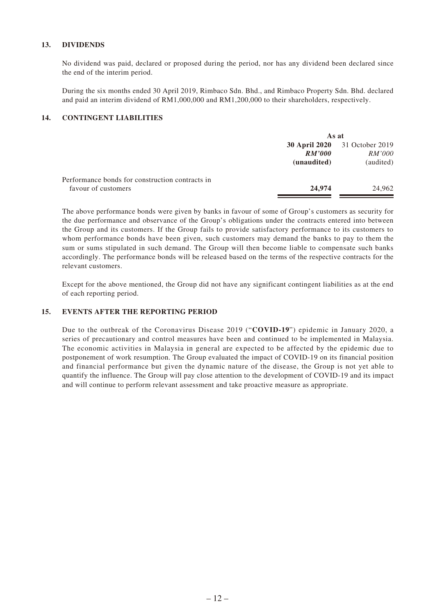#### **13. DIVIDENDS**

No dividend was paid, declared or proposed during the period, nor has any dividend been declared since the end of the interim period.

During the six months ended 30 April 2019, Rimbaco Sdn. Bhd., and Rimbaco Property Sdn. Bhd. declared and paid an interim dividend of RM1,000,000 and RM1,200,000 to their shareholders, respectively.

#### **14. CONTINGENT LIABILITIES**

|                                                 | As at                                                |                                               |  |
|-------------------------------------------------|------------------------------------------------------|-----------------------------------------------|--|
|                                                 | <b>30 April 2020</b><br><b>RM'000</b><br>(unaudited) | 31 October 2019<br><i>RM'000</i><br>(audited) |  |
| Performance bonds for construction contracts in |                                                      |                                               |  |
| favour of customers                             | 24,974                                               | 24,962                                        |  |

The above performance bonds were given by banks in favour of some of Group's customers as security for the due performance and observance of the Group's obligations under the contracts entered into between the Group and its customers. If the Group fails to provide satisfactory performance to its customers to whom performance bonds have been given, such customers may demand the banks to pay to them the sum or sums stipulated in such demand. The Group will then become liable to compensate such banks accordingly. The performance bonds will be released based on the terms of the respective contracts for the relevant customers.

Except for the above mentioned, the Group did not have any significant contingent liabilities as at the end of each reporting period.

#### **15. EVENTS AFTER THE REPORTING PERIOD**

Due to the outbreak of the Coronavirus Disease 2019 ("**COVID-19**") epidemic in January 2020, a series of precautionary and control measures have been and continued to be implemented in Malaysia. The economic activities in Malaysia in general are expected to be affected by the epidemic due to postponement of work resumption. The Group evaluated the impact of COVID-19 on its financial position and financial performance but given the dynamic nature of the disease, the Group is not yet able to quantify the influence. The Group will pay close attention to the development of COVID-19 and its impact and will continue to perform relevant assessment and take proactive measure as appropriate.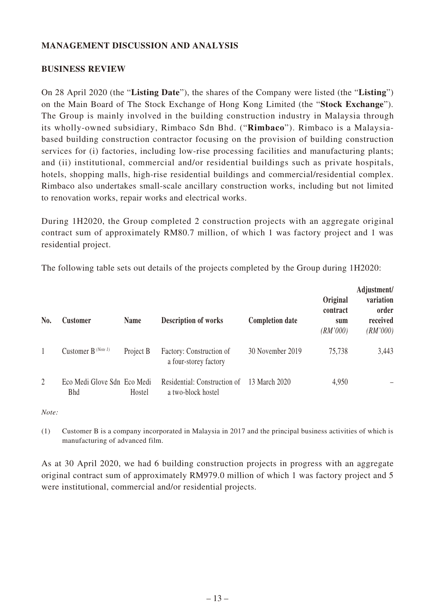### **MANAGEMENT DISCUSSION AND ANALYSIS**

#### **BUSINESS REVIEW**

On 28 April 2020 (the "**Listing Date**"), the shares of the Company were listed (the "**Listing**") on the Main Board of The Stock Exchange of Hong Kong Limited (the "**Stock Exchange**"). The Group is mainly involved in the building construction industry in Malaysia through its wholly-owned subsidiary, Rimbaco Sdn Bhd. ("**Rimbaco**"). Rimbaco is a Malaysiabased building construction contractor focusing on the provision of building construction services for (i) factories, including low-rise processing facilities and manufacturing plants; and (ii) institutional, commercial and/or residential buildings such as private hospitals, hotels, shopping malls, high-rise residential buildings and commercial/residential complex. Rimbaco also undertakes small-scale ancillary construction works, including but not limited to renovation works, repair works and electrical works.

During 1H2020, the Group completed 2 construction projects with an aggregate original contract sum of approximately RM80.7 million, of which 1 was factory project and 1 was residential project.

| No.            | <b>Customer</b>                           | <b>Name</b> | <b>Description of works</b>                        | <b>Completion date</b> | Original<br>contract<br>sum<br>(RM'000) | Adjustment/<br>variation<br>order<br>received<br>(RM'000) |
|----------------|-------------------------------------------|-------------|----------------------------------------------------|------------------------|-----------------------------------------|-----------------------------------------------------------|
|                | Customer B <sup>(Note 1)</sup>            | Project B   | Factory: Construction of<br>a four-storey factory  | 30 November 2019       | 75,738                                  | 3,443                                                     |
| $\overline{2}$ | Eco Medi Glove Sdn Eco Medi<br><b>Bhd</b> | Hostel      | Residential: Construction of<br>a two-block hostel | 13 March 2020          | 4,950                                   |                                                           |

The following table sets out details of the projects completed by the Group during 1H2020:

*Note:*

(1) Customer B is a company incorporated in Malaysia in 2017 and the principal business activities of which is manufacturing of advanced film.

As at 30 April 2020, we had 6 building construction projects in progress with an aggregate original contract sum of approximately RM979.0 million of which 1 was factory project and 5 were institutional, commercial and/or residential projects.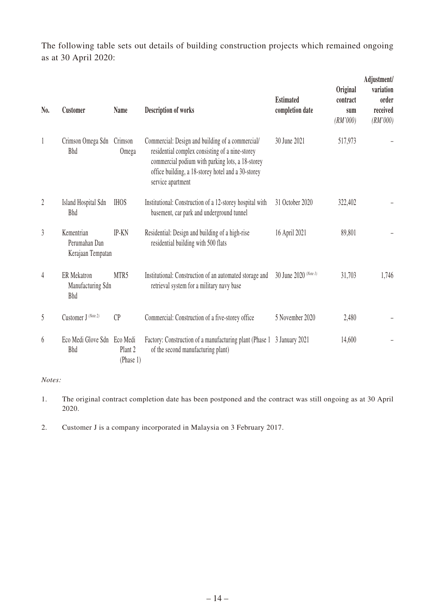The following table sets out details of building construction projects which remained ongoing as at 30 April 2020:

| N <sub>0</sub> . | <b>Customer</b>                                       | <b>Name</b>                     | <b>Description of works</b>                                                                                                                                                                                                        | <b>Estimated</b><br>completion date | <b>Original</b><br>contract<br>sum<br>(RM'000) | Adjustment/<br>variation<br>order<br>received<br>(RM'000) |
|------------------|-------------------------------------------------------|---------------------------------|------------------------------------------------------------------------------------------------------------------------------------------------------------------------------------------------------------------------------------|-------------------------------------|------------------------------------------------|-----------------------------------------------------------|
| 1                | Crimson Omega Sdn<br><b>Bhd</b>                       | Crimson<br>Omega                | Commercial: Design and building of a commercial/<br>residential complex consisting of a nine-storey<br>commercial podium with parking lots, a 18-storey<br>office building, a 18-storey hotel and a 30-storey<br>service apartment | 30 June 2021                        | 517,973                                        |                                                           |
| $\overline{2}$   | Island Hospital Sdn<br><b>Bhd</b>                     | <b>IHOS</b>                     | Institutional: Construction of a 12-storey hospital with<br>basement, car park and underground tunnel                                                                                                                              | 31 October 2020                     | 322,402                                        |                                                           |
| $\overline{3}$   | Kementrian<br>Perumahan Dan<br>Kerajaan Tempatan      | IP-KN                           | Residential: Design and building of a high-rise<br>residential building with 500 flats                                                                                                                                             | 16 April 2021                       | 89,801                                         |                                                           |
| 4                | <b>ER</b> Mekatron<br>Manufacturing Sdn<br><b>Bhd</b> | MTR5                            | Institutional: Construction of an automated storage and<br>retrieval system for a military navy base                                                                                                                               | 30 June 2020 (Note 1)               | 31,703                                         | 1,746                                                     |
| 5                | Customer J (Note 2)                                   | CP                              | Commercial: Construction of a five-storey office                                                                                                                                                                                   | 5 November 2020                     | 2,480                                          |                                                           |
| 6                | Eco Medi Glove Sdn Eco Medi<br><b>Bhd</b>             | Plant <sub>2</sub><br>(Phase 1) | Factory: Construction of a manufacturing plant (Phase 1)<br>of the second manufacturing plant)                                                                                                                                     | 3 January 2021                      | 14,600                                         |                                                           |

#### *Notes:*

- 1. The original contract completion date has been postponed and the contract was still ongoing as at 30 April 2020.
- 2. Customer J is a company incorporated in Malaysia on 3 February 2017.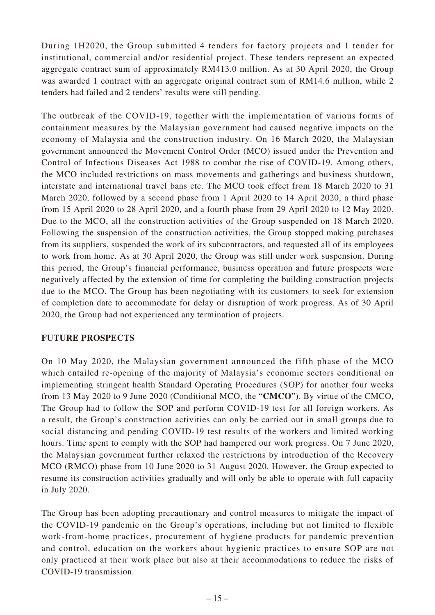During 1H2020, the Group submitted 4 tenders for factory projects and 1 tender for institutional, commercial and/or residential project. These tenders represent an expected aggregate contract sum of approximately RM413.0 million. As at 30 April 2020, the Group was awarded 1 contract with an aggregate original contract sum of RM14.6 million, while 2 tenders had failed and 2 tenders' results were still pending.

The outbreak of the COVID-19, together with the implementation of various forms of containment measures by the Malaysian government had caused negative impacts on the economy of Malaysia and the construction industry. On 16 March 2020, the Malaysian government announced the Movement Control Order (MCO) issued under the Prevention and Control of Infectious Diseases Act 1988 to combat the rise of COVID-19. Among others, the MCO included restrictions on mass movements and gatherings and business shutdown, interstate and international travel bans etc. The MCO took effect from 18 March 2020 to 31 March 2020, followed by a second phase from 1 April 2020 to 14 April 2020, a third phase from 15 April 2020 to 28 April 2020, and a fourth phase from 29 April 2020 to 12 May 2020. Due to the MCO, all the construction activities of the Group suspended on 18 March 2020. Following the suspension of the construction activities, the Group stopped making purchases from its suppliers, suspended the work of its subcontractors, and requested all of its employees to work from home. As at 30 April 2020, the Group was still under work suspension. During this period, the Group's financial performance, business operation and future prospects were negatively affected by the extension of time for completing the building construction projects due to the MCO. The Group has been negotiating with its customers to seek for extension of completion date to accommodate for delay or disruption of work progress. As of 30 April 2020, the Group had not experienced any termination of projects.

### **FUTURE PROSPECTS**

On 10 May 2020, the Malaysian government announced the fifth phase of the MCO which entailed re-opening of the majority of Malaysia's economic sectors conditional on implementing stringent health Standard Operating Procedures (SOP) for another four weeks from 13 May 2020 to 9 June 2020 (Conditional MCO, the "**CMCO**"). By virtue of the CMCO, The Group had to follow the SOP and perform COVID-19 test for all foreign workers. As a result, the Group's construction activities can only be carried out in small groups due to social distancing and pending COVID-19 test results of the workers and limited working hours. Time spent to comply with the SOP had hampered our work progress. On 7 June 2020, the Malaysian government further relaxed the restrictions by introduction of the Recovery MCO (RMCO) phase from 10 June 2020 to 31 August 2020. However, the Group expected to resume its construction activities gradually and will only be able to operate with full capacity in July 2020.

The Group has been adopting precautionary and control measures to mitigate the impact of the COVID-19 pandemic on the Group's operations, including but not limited to flexible work-from-home practices, procurement of hygiene products for pandemic prevention and control, education on the workers about hygienic practices to ensure SOP are not only practiced at their work place but also at their accommodations to reduce the risks of COVID-19 transmission.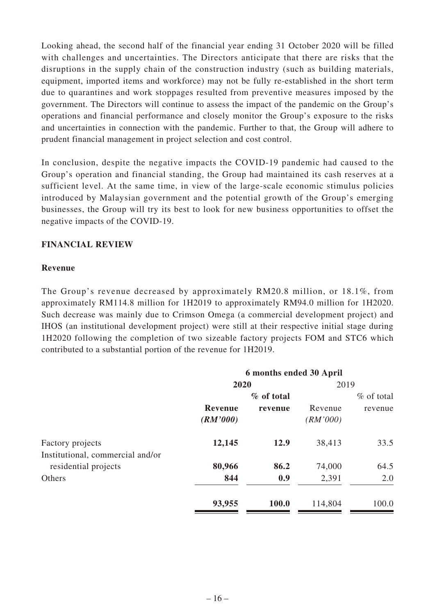Looking ahead, the second half of the financial year ending 31 October 2020 will be filled with challenges and uncertainties. The Directors anticipate that there are risks that the disruptions in the supply chain of the construction industry (such as building materials, equipment, imported items and workforce) may not be fully re-established in the short term due to quarantines and work stoppages resulted from preventive measures imposed by the government. The Directors will continue to assess the impact of the pandemic on the Group's operations and financial performance and closely monitor the Group's exposure to the risks and uncertainties in connection with the pandemic. Further to that, the Group will adhere to prudent financial management in project selection and cost control.

In conclusion, despite the negative impacts the COVID-19 pandemic had caused to the Group's operation and financial standing, the Group had maintained its cash reserves at a sufficient level. At the same time, in view of the large-scale economic stimulus policies introduced by Malaysian government and the potential growth of the Group's emerging businesses, the Group will try its best to look for new business opportunities to offset the negative impacts of the COVID-19.

# **FINANCIAL REVIEW**

### **Revenue**

The Group's revenue decreased by approximately RM20.8 million, or 18.1%, from approximately RM114.8 million for 1H2019 to approximately RM94.0 million for 1H2020. Such decrease was mainly due to Crimson Omega (a commercial development project) and IHOS (an institutional development project) were still at their respective initial stage during 1H2020 following the completion of two sizeable factory projects FOM and STC6 which contributed to a substantial portion of the revenue for 1H2019.

|                                                      | 6 months ended 30 April |            |                     |              |
|------------------------------------------------------|-------------------------|------------|---------------------|--------------|
|                                                      | 2020                    |            | 2019                |              |
|                                                      |                         | % of total |                     | $%$ of total |
|                                                      | Revenue<br>(RM'000)     | revenue    | Revenue<br>(RM'000) | revenue      |
| Factory projects<br>Institutional, commercial and/or | 12,145                  | 12.9       | 38,413              | 33.5         |
| residential projects                                 | 80,966                  | 86.2       | 74,000              | 64.5         |
| Others                                               | 844                     | 0.9        | 2,391               | 2.0          |
|                                                      | 93,955                  | 100.0      | 114,804             | 100.0        |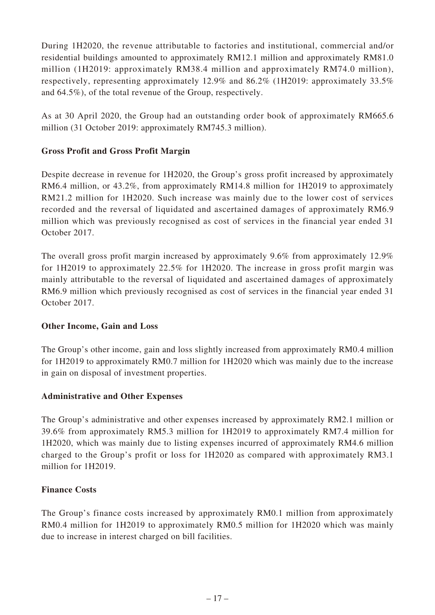During 1H2020, the revenue attributable to factories and institutional, commercial and/or residential buildings amounted to approximately RM12.1 million and approximately RM81.0 million (1H2019: approximately RM38.4 million and approximately RM74.0 million), respectively, representing approximately 12.9% and 86.2% (1H2019: approximately 33.5% and 64.5%), of the total revenue of the Group, respectively.

As at 30 April 2020, the Group had an outstanding order book of approximately RM665.6 million (31 October 2019: approximately RM745.3 million).

# **Gross Profit and Gross Profit Margin**

Despite decrease in revenue for 1H2020, the Group's gross profit increased by approximately RM6.4 million, or 43.2%, from approximately RM14.8 million for 1H2019 to approximately RM21.2 million for 1H2020. Such increase was mainly due to the lower cost of services recorded and the reversal of liquidated and ascertained damages of approximately RM6.9 million which was previously recognised as cost of services in the financial year ended 31 October 2017.

The overall gross profit margin increased by approximately 9.6% from approximately 12.9% for 1H2019 to approximately 22.5% for 1H2020. The increase in gross profit margin was mainly attributable to the reversal of liquidated and ascertained damages of approximately RM6.9 million which previously recognised as cost of services in the financial year ended 31 October 2017.

### **Other Income, Gain and Loss**

The Group's other income, gain and loss slightly increased from approximately RM0.4 million for 1H2019 to approximately RM0.7 million for 1H2020 which was mainly due to the increase in gain on disposal of investment properties.

### **Administrative and Other Expenses**

The Group's administrative and other expenses increased by approximately RM2.1 million or 39.6% from approximately RM5.3 million for 1H2019 to approximately RM7.4 million for 1H2020, which was mainly due to listing expenses incurred of approximately RM4.6 million charged to the Group's profit or loss for 1H2020 as compared with approximately RM3.1 million for 1H2019.

### **Finance Costs**

The Group's finance costs increased by approximately RM0.1 million from approximately RM0.4 million for 1H2019 to approximately RM0.5 million for 1H2020 which was mainly due to increase in interest charged on bill facilities.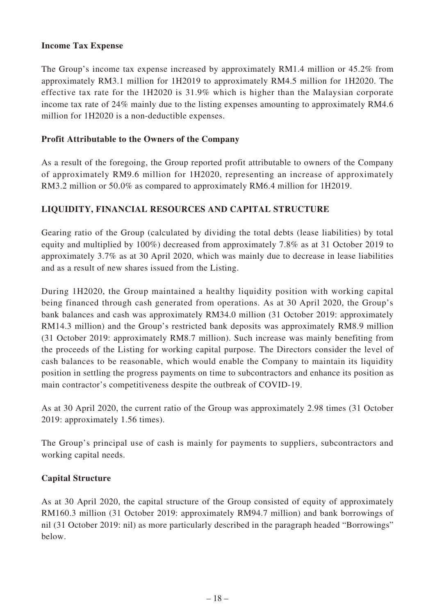## **Income Tax Expense**

The Group's income tax expense increased by approximately RM1.4 million or 45.2% from approximately RM3.1 million for 1H2019 to approximately RM4.5 million for 1H2020. The effective tax rate for the 1H2020 is 31.9% which is higher than the Malaysian corporate income tax rate of 24% mainly due to the listing expenses amounting to approximately RM4.6 million for 1H2020 is a non-deductible expenses.

# **Profit Attributable to the Owners of the Company**

As a result of the foregoing, the Group reported profit attributable to owners of the Company of approximately RM9.6 million for 1H2020, representing an increase of approximately RM3.2 million or 50.0% as compared to approximately RM6.4 million for 1H2019.

# **LIQUIDITY, FINANCIAL RESOURCES AND CAPITAL STRUCTURE**

Gearing ratio of the Group (calculated by dividing the total debts (lease liabilities) by total equity and multiplied by 100%) decreased from approximately 7.8% as at 31 October 2019 to approximately 3.7% as at 30 April 2020, which was mainly due to decrease in lease liabilities and as a result of new shares issued from the Listing.

During 1H2020, the Group maintained a healthy liquidity position with working capital being financed through cash generated from operations. As at 30 April 2020, the Group's bank balances and cash was approximately RM34.0 million (31 October 2019: approximately RM14.3 million) and the Group's restricted bank deposits was approximately RM8.9 million (31 October 2019: approximately RM8.7 million). Such increase was mainly benefiting from the proceeds of the Listing for working capital purpose. The Directors consider the level of cash balances to be reasonable, which would enable the Company to maintain its liquidity position in settling the progress payments on time to subcontractors and enhance its position as main contractor's competitiveness despite the outbreak of COVID-19.

As at 30 April 2020, the current ratio of the Group was approximately 2.98 times (31 October 2019: approximately 1.56 times).

The Group's principal use of cash is mainly for payments to suppliers, subcontractors and working capital needs.

### **Capital Structure**

As at 30 April 2020, the capital structure of the Group consisted of equity of approximately RM160.3 million (31 October 2019: approximately RM94.7 million) and bank borrowings of nil (31 October 2019: nil) as more particularly described in the paragraph headed "Borrowings" below.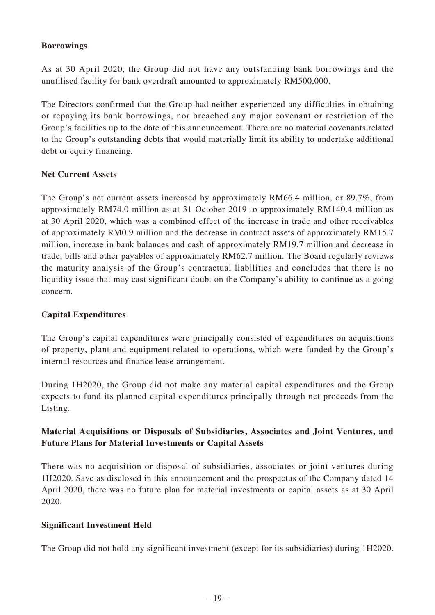# **Borrowings**

As at 30 April 2020, the Group did not have any outstanding bank borrowings and the unutilised facility for bank overdraft amounted to approximately RM500,000.

The Directors confirmed that the Group had neither experienced any difficulties in obtaining or repaying its bank borrowings, nor breached any major covenant or restriction of the Group's facilities up to the date of this announcement. There are no material covenants related to the Group's outstanding debts that would materially limit its ability to undertake additional debt or equity financing.

# **Net Current Assets**

The Group's net current assets increased by approximately RM66.4 million, or 89.7%, from approximately RM74.0 million as at 31 October 2019 to approximately RM140.4 million as at 30 April 2020, which was a combined effect of the increase in trade and other receivables of approximately RM0.9 million and the decrease in contract assets of approximately RM15.7 million, increase in bank balances and cash of approximately RM19.7 million and decrease in trade, bills and other payables of approximately RM62.7 million. The Board regularly reviews the maturity analysis of the Group's contractual liabilities and concludes that there is no liquidity issue that may cast significant doubt on the Company's ability to continue as a going concern.

### **Capital Expenditures**

The Group's capital expenditures were principally consisted of expenditures on acquisitions of property, plant and equipment related to operations, which were funded by the Group's internal resources and finance lease arrangement.

During 1H2020, the Group did not make any material capital expenditures and the Group expects to fund its planned capital expenditures principally through net proceeds from the Listing.

# **Material Acquisitions or Disposals of Subsidiaries, Associates and Joint Ventures, and Future Plans for Material Investments or Capital Assets**

There was no acquisition or disposal of subsidiaries, associates or joint ventures during 1H2020. Save as disclosed in this announcement and the prospectus of the Company dated 14 April 2020, there was no future plan for material investments or capital assets as at 30 April 2020.

### **Significant Investment Held**

The Group did not hold any significant investment (except for its subsidiaries) during 1H2020.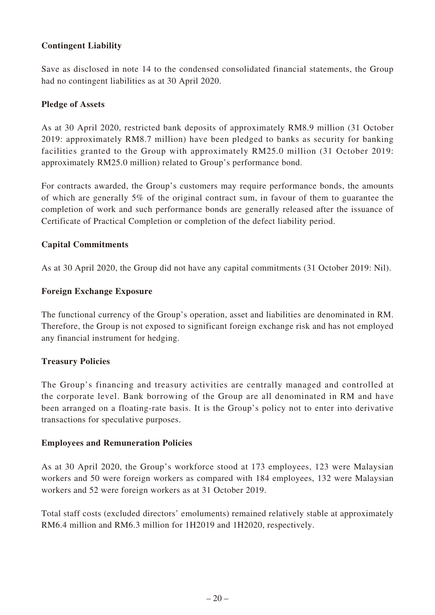# **Contingent Liability**

Save as disclosed in note 14 to the condensed consolidated financial statements, the Group had no contingent liabilities as at 30 April 2020.

### **Pledge of Assets**

As at 30 April 2020, restricted bank deposits of approximately RM8.9 million (31 October 2019: approximately RM8.7 million) have been pledged to banks as security for banking facilities granted to the Group with approximately RM25.0 million (31 October 2019: approximately RM25.0 million) related to Group's performance bond.

For contracts awarded, the Group's customers may require performance bonds, the amounts of which are generally 5% of the original contract sum, in favour of them to guarantee the completion of work and such performance bonds are generally released after the issuance of Certificate of Practical Completion or completion of the defect liability period.

#### **Capital Commitments**

As at 30 April 2020, the Group did not have any capital commitments (31 October 2019: Nil).

#### **Foreign Exchange Exposure**

The functional currency of the Group's operation, asset and liabilities are denominated in RM. Therefore, the Group is not exposed to significant foreign exchange risk and has not employed any financial instrument for hedging.

### **Treasury Policies**

The Group's financing and treasury activities are centrally managed and controlled at the corporate level. Bank borrowing of the Group are all denominated in RM and have been arranged on a floating-rate basis. It is the Group's policy not to enter into derivative transactions for speculative purposes.

#### **Employees and Remuneration Policies**

As at 30 April 2020, the Group's workforce stood at 173 employees, 123 were Malaysian workers and 50 were foreign workers as compared with 184 employees, 132 were Malaysian workers and 52 were foreign workers as at 31 October 2019.

Total staff costs (excluded directors' emoluments) remained relatively stable at approximately RM6.4 million and RM6.3 million for 1H2019 and 1H2020, respectively.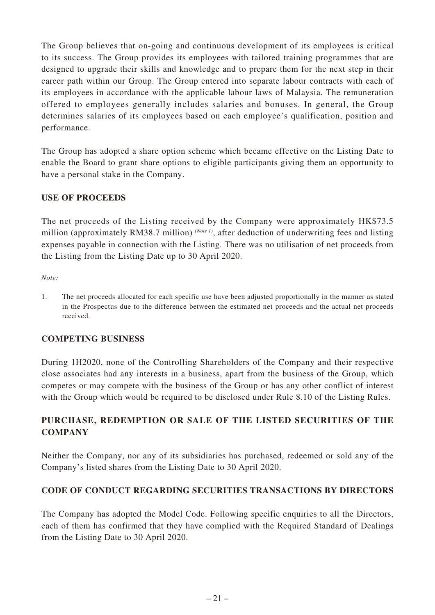The Group believes that on-going and continuous development of its employees is critical to its success. The Group provides its employees with tailored training programmes that are designed to upgrade their skills and knowledge and to prepare them for the next step in their career path within our Group. The Group entered into separate labour contracts with each of its employees in accordance with the applicable labour laws of Malaysia. The remuneration offered to employees generally includes salaries and bonuses. In general, the Group determines salaries of its employees based on each employee's qualification, position and performance.

The Group has adopted a share option scheme which became effective on the Listing Date to enable the Board to grant share options to eligible participants giving them an opportunity to have a personal stake in the Company.

### **USE OF PROCEEDS**

The net proceeds of the Listing received by the Company were approximately HK\$73.5 million (approximately RM38.7 million) *(Note 1)*, after deduction of underwriting fees and listing expenses payable in connection with the Listing. There was no utilisation of net proceeds from the Listing from the Listing Date up to 30 April 2020.

*Note:*

1. The net proceeds allocated for each specific use have been adjusted proportionally in the manner as stated in the Prospectus due to the difference between the estimated net proceeds and the actual net proceeds received.

# **COMPETING BUSINESS**

During 1H2020, none of the Controlling Shareholders of the Company and their respective close associates had any interests in a business, apart from the business of the Group, which competes or may compete with the business of the Group or has any other conflict of interest with the Group which would be required to be disclosed under Rule 8.10 of the Listing Rules.

# **PURCHASE, REDEMPTION OR SALE OF THE LISTED SECURITIES OF THE COMPANY**

Neither the Company, nor any of its subsidiaries has purchased, redeemed or sold any of the Company's listed shares from the Listing Date to 30 April 2020.

# **CODE OF CONDUCT REGARDING SECURITIES TRANSACTIONS BY DIRECTORS**

The Company has adopted the Model Code. Following specific enquiries to all the Directors, each of them has confirmed that they have complied with the Required Standard of Dealings from the Listing Date to 30 April 2020.